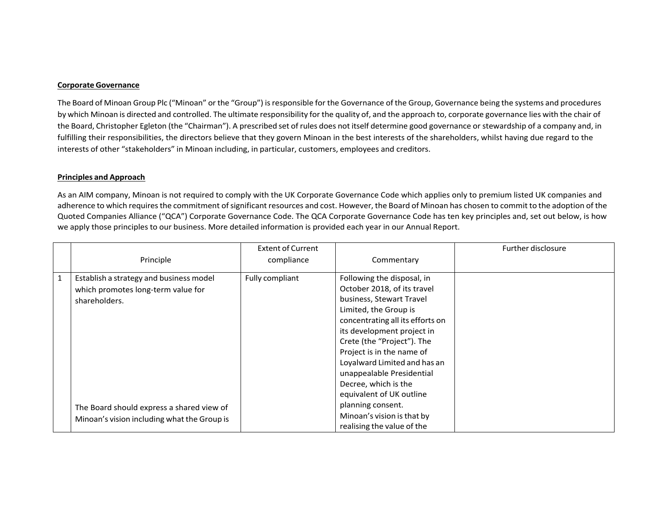## **Corporate Governance**

The Board of Minoan Group Plc ("Minoan" or the "Group") isresponsible for the Governance of the Group, Governance being the systems and procedures by which Minoan is directed and controlled. The ultimate responsibility for the quality of, and the approach to, corporate governance lies with the chair of the Board, Christopher Egleton (the "Chairman"). A prescribed set of rules does not itself determine good governance or stewardship of a company and, in fulfilling their responsibilities, the directors believe that they govern Minoan in the best interests of the shareholders, whilst having due regard to the interests of other "stakeholders" in Minoan including, in particular, customers, employees and creditors.

## **Principles and Approach**

As an AIM company, Minoan is not required to comply with the UK Corporate Governance Code which applies only to premium listed UK companies and adherence to which requires the commitment of significant resources and cost. However, the Board of Minoan has chosen to commit to the adoption of the Quoted Companies Alliance ("QCA") Corporate Governance Code. The QCA Corporate Governance Code has ten key principles and, set out below, is how we apply those principles to our business. More detailed information is provided each year in our Annual Report.

|              | Principle                                                                                                                                   | <b>Extent of Current</b><br>compliance | Commentary                                                                                                                                                                                                                                                                                                                                                                        | <b>Further disclosure</b> |
|--------------|---------------------------------------------------------------------------------------------------------------------------------------------|----------------------------------------|-----------------------------------------------------------------------------------------------------------------------------------------------------------------------------------------------------------------------------------------------------------------------------------------------------------------------------------------------------------------------------------|---------------------------|
| $\mathbf{1}$ | Establish a strategy and business model<br>which promotes long-term value for<br>shareholders.<br>The Board should express a shared view of | Fully compliant                        | Following the disposal, in<br>October 2018, of its travel<br>business, Stewart Travel<br>Limited, the Group is<br>concentrating all its efforts on<br>its development project in<br>Crete (the "Project"). The<br>Project is in the name of<br>Loyalward Limited and has an<br>unappealable Presidential<br>Decree, which is the<br>equivalent of UK outline<br>planning consent. |                           |
|              | Minoan's vision including what the Group is                                                                                                 |                                        | Minoan's vision is that by<br>realising the value of the                                                                                                                                                                                                                                                                                                                          |                           |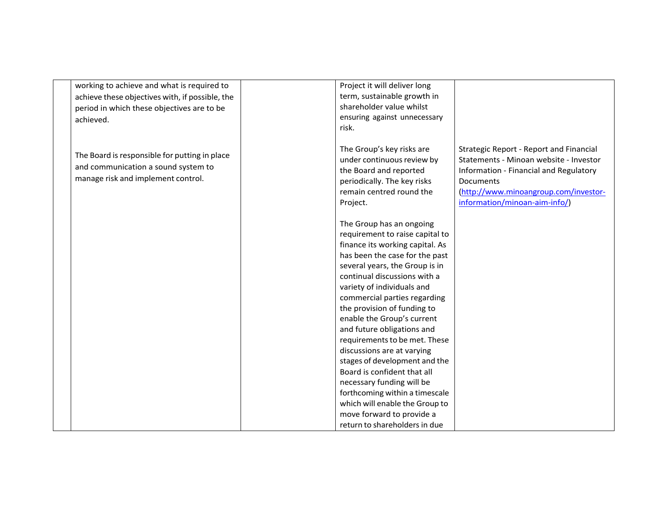| working to achieve and what is required to      | Project it will deliver long    |                                                |
|-------------------------------------------------|---------------------------------|------------------------------------------------|
| achieve these objectives with, if possible, the | term, sustainable growth in     |                                                |
| period in which these objectives are to be      | shareholder value whilst        |                                                |
| achieved.                                       | ensuring against unnecessary    |                                                |
|                                                 | risk.                           |                                                |
|                                                 |                                 |                                                |
|                                                 | The Group's key risks are       | <b>Strategic Report - Report and Financial</b> |
| The Board is responsible for putting in place   | under continuous review by      | Statements - Minoan website - Investor         |
| and communication a sound system to             | the Board and reported          | Information - Financial and Regulatory         |
| manage risk and implement control.              | periodically. The key risks     | Documents                                      |
|                                                 | remain centred round the        | (http://www.minoangroup.com/investor-          |
|                                                 | Project.                        | information/minoan-aim-info/)                  |
|                                                 |                                 |                                                |
|                                                 | The Group has an ongoing        |                                                |
|                                                 | requirement to raise capital to |                                                |
|                                                 | finance its working capital. As |                                                |
|                                                 | has been the case for the past  |                                                |
|                                                 | several years, the Group is in  |                                                |
|                                                 | continual discussions with a    |                                                |
|                                                 | variety of individuals and      |                                                |
|                                                 | commercial parties regarding    |                                                |
|                                                 | the provision of funding to     |                                                |
|                                                 | enable the Group's current      |                                                |
|                                                 | and future obligations and      |                                                |
|                                                 | requirements to be met. These   |                                                |
|                                                 | discussions are at varying      |                                                |
|                                                 | stages of development and the   |                                                |
|                                                 | Board is confident that all     |                                                |
|                                                 | necessary funding will be       |                                                |
|                                                 | forthcoming within a timescale  |                                                |
|                                                 | which will enable the Group to  |                                                |
|                                                 | move forward to provide a       |                                                |
|                                                 | return to shareholders in due   |                                                |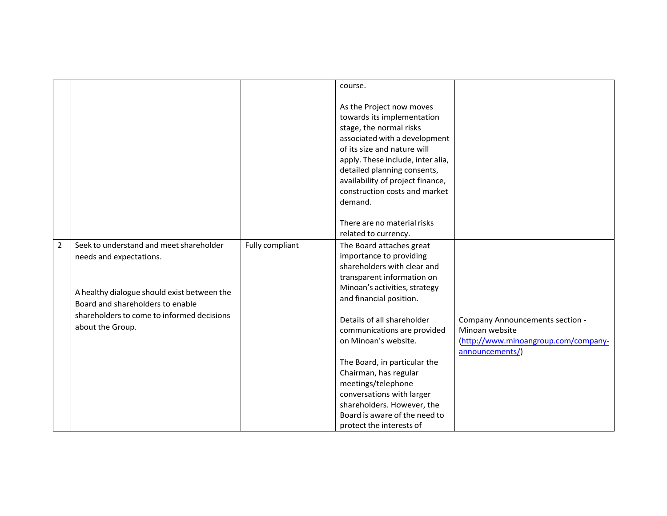|                |                                             |                 | course.                                                                                                                                                                                                                                                                                                                                                      |                                        |
|----------------|---------------------------------------------|-----------------|--------------------------------------------------------------------------------------------------------------------------------------------------------------------------------------------------------------------------------------------------------------------------------------------------------------------------------------------------------------|----------------------------------------|
|                |                                             |                 | As the Project now moves<br>towards its implementation<br>stage, the normal risks<br>associated with a development<br>of its size and nature will<br>apply. These include, inter alia,<br>detailed planning consents,<br>availability of project finance,<br>construction costs and market<br>demand.<br>There are no material risks<br>related to currency. |                                        |
|                |                                             |                 |                                                                                                                                                                                                                                                                                                                                                              |                                        |
| $\overline{2}$ | Seek to understand and meet shareholder     | Fully compliant | The Board attaches great                                                                                                                                                                                                                                                                                                                                     |                                        |
|                | needs and expectations.                     |                 | importance to providing                                                                                                                                                                                                                                                                                                                                      |                                        |
|                |                                             |                 | shareholders with clear and                                                                                                                                                                                                                                                                                                                                  |                                        |
|                |                                             |                 | transparent information on                                                                                                                                                                                                                                                                                                                                   |                                        |
|                | A healthy dialogue should exist between the |                 | Minoan's activities, strategy                                                                                                                                                                                                                                                                                                                                |                                        |
|                | Board and shareholders to enable            |                 | and financial position.                                                                                                                                                                                                                                                                                                                                      |                                        |
|                | shareholders to come to informed decisions  |                 | Details of all shareholder                                                                                                                                                                                                                                                                                                                                   | <b>Company Announcements section -</b> |
|                | about the Group.                            |                 | communications are provided                                                                                                                                                                                                                                                                                                                                  | Minoan website                         |
|                |                                             |                 | on Minoan's website.                                                                                                                                                                                                                                                                                                                                         | (http://www.minoangroup.com/company-   |
|                |                                             |                 |                                                                                                                                                                                                                                                                                                                                                              | announcements/)                        |
|                |                                             |                 | The Board, in particular the                                                                                                                                                                                                                                                                                                                                 |                                        |
|                |                                             |                 | Chairman, has regular                                                                                                                                                                                                                                                                                                                                        |                                        |
|                |                                             |                 | meetings/telephone                                                                                                                                                                                                                                                                                                                                           |                                        |
|                |                                             |                 | conversations with larger                                                                                                                                                                                                                                                                                                                                    |                                        |
|                |                                             |                 | shareholders. However, the                                                                                                                                                                                                                                                                                                                                   |                                        |
|                |                                             |                 | Board is aware of the need to                                                                                                                                                                                                                                                                                                                                |                                        |
|                |                                             |                 | protect the interests of                                                                                                                                                                                                                                                                                                                                     |                                        |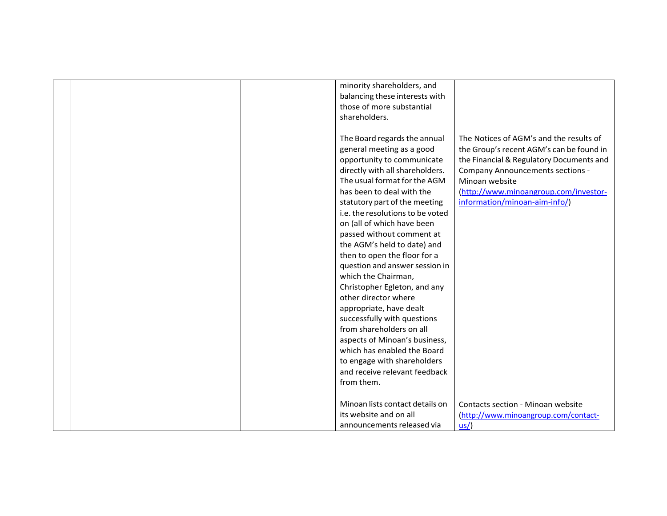|  | minority shareholders, and       |                                          |
|--|----------------------------------|------------------------------------------|
|  | balancing these interests with   |                                          |
|  | those of more substantial        |                                          |
|  | shareholders.                    |                                          |
|  |                                  |                                          |
|  | The Board regards the annual     | The Notices of AGM's and the results of  |
|  | general meeting as a good        | the Group's recent AGM's can be found in |
|  | opportunity to communicate       | the Financial & Regulatory Documents and |
|  | directly with all shareholders.  | <b>Company Announcements sections -</b>  |
|  | The usual format for the AGM     | Minoan website                           |
|  | has been to deal with the        | (http://www.minoangroup.com/investor-    |
|  | statutory part of the meeting    | information/minoan-aim-info/)            |
|  | i.e. the resolutions to be voted |                                          |
|  | on (all of which have been       |                                          |
|  | passed without comment at        |                                          |
|  | the AGM's held to date) and      |                                          |
|  | then to open the floor for a     |                                          |
|  | question and answer session in   |                                          |
|  | which the Chairman,              |                                          |
|  | Christopher Egleton, and any     |                                          |
|  | other director where             |                                          |
|  | appropriate, have dealt          |                                          |
|  | successfully with questions      |                                          |
|  | from shareholders on all         |                                          |
|  | aspects of Minoan's business,    |                                          |
|  | which has enabled the Board      |                                          |
|  | to engage with shareholders      |                                          |
|  | and receive relevant feedback    |                                          |
|  | from them.                       |                                          |
|  |                                  |                                          |
|  | Minoan lists contact details on  | Contacts section - Minoan website        |
|  | its website and on all           | (http://www.minoangroup.com/contact-     |
|  | announcements released via       | $us/$                                    |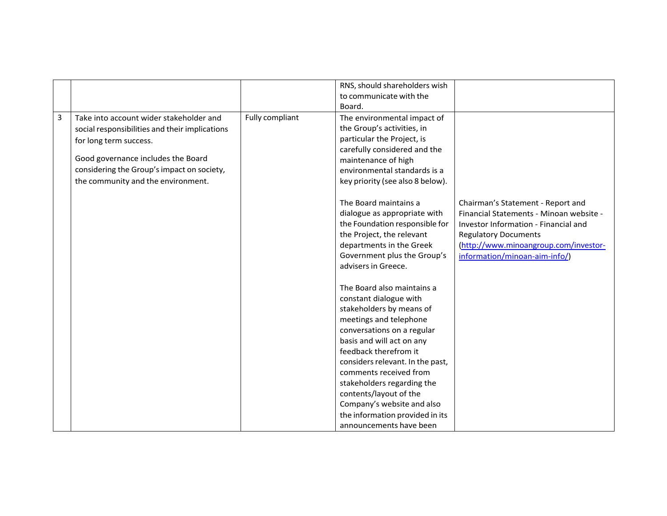|   |                                                |                 | RNS, should shareholders wish    |                                         |
|---|------------------------------------------------|-----------------|----------------------------------|-----------------------------------------|
|   |                                                |                 | to communicate with the          |                                         |
|   |                                                |                 | Board.                           |                                         |
| 3 | Take into account wider stakeholder and        | Fully compliant | The environmental impact of      |                                         |
|   | social responsibilities and their implications |                 | the Group's activities, in       |                                         |
|   | for long term success.                         |                 | particular the Project, is       |                                         |
|   |                                                |                 | carefully considered and the     |                                         |
|   | Good governance includes the Board             |                 | maintenance of high              |                                         |
|   | considering the Group's impact on society,     |                 | environmental standards is a     |                                         |
|   | the community and the environment.             |                 | key priority (see also 8 below). |                                         |
|   |                                                |                 | The Board maintains a            | Chairman's Statement - Report and       |
|   |                                                |                 | dialogue as appropriate with     | Financial Statements - Minoan website - |
|   |                                                |                 | the Foundation responsible for   | Investor Information - Financial and    |
|   |                                                |                 | the Project, the relevant        | <b>Regulatory Documents</b>             |
|   |                                                |                 | departments in the Greek         | (http://www.minoangroup.com/investor-   |
|   |                                                |                 | Government plus the Group's      | information/minoan-aim-info/)           |
|   |                                                |                 | advisers in Greece.              |                                         |
|   |                                                |                 | The Board also maintains a       |                                         |
|   |                                                |                 | constant dialogue with           |                                         |
|   |                                                |                 | stakeholders by means of         |                                         |
|   |                                                |                 | meetings and telephone           |                                         |
|   |                                                |                 | conversations on a regular       |                                         |
|   |                                                |                 | basis and will act on any        |                                         |
|   |                                                |                 | feedback therefrom it            |                                         |
|   |                                                |                 | considers relevant. In the past, |                                         |
|   |                                                |                 | comments received from           |                                         |
|   |                                                |                 | stakeholders regarding the       |                                         |
|   |                                                |                 | contents/layout of the           |                                         |
|   |                                                |                 | Company's website and also       |                                         |
|   |                                                |                 | the information provided in its  |                                         |
|   |                                                |                 | announcements have been          |                                         |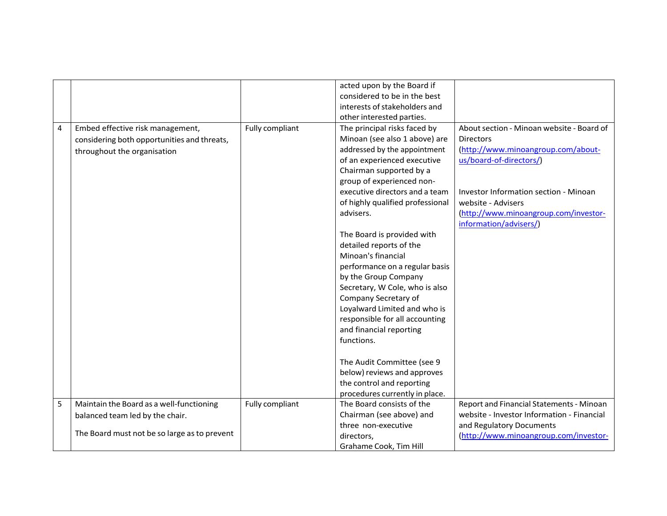|   |                                              |                 | acted upon by the Board if       |                                            |
|---|----------------------------------------------|-----------------|----------------------------------|--------------------------------------------|
|   |                                              |                 | considered to be in the best     |                                            |
|   |                                              |                 | interests of stakeholders and    |                                            |
|   |                                              |                 | other interested parties.        |                                            |
| 4 | Embed effective risk management,             | Fully compliant | The principal risks faced by     | About section - Minoan website - Board of  |
|   | considering both opportunities and threats,  |                 | Minoan (see also 1 above) are    | <b>Directors</b>                           |
|   | throughout the organisation                  |                 | addressed by the appointment     | (http://www.minoangroup.com/about-         |
|   |                                              |                 | of an experienced executive      | us/board-of-directors/)                    |
|   |                                              |                 | Chairman supported by a          |                                            |
|   |                                              |                 | group of experienced non-        |                                            |
|   |                                              |                 | executive directors and a team   | Investor Information section - Minoan      |
|   |                                              |                 | of highly qualified professional | website - Advisers                         |
|   |                                              |                 | advisers.                        | (http://www.minoangroup.com/investor-      |
|   |                                              |                 |                                  | information/advisers/)                     |
|   |                                              |                 | The Board is provided with       |                                            |
|   |                                              |                 | detailed reports of the          |                                            |
|   |                                              |                 | Minoan's financial               |                                            |
|   |                                              |                 | performance on a regular basis   |                                            |
|   |                                              |                 | by the Group Company             |                                            |
|   |                                              |                 | Secretary, W Cole, who is also   |                                            |
|   |                                              |                 | Company Secretary of             |                                            |
|   |                                              |                 | Loyalward Limited and who is     |                                            |
|   |                                              |                 | responsible for all accounting   |                                            |
|   |                                              |                 | and financial reporting          |                                            |
|   |                                              |                 | functions.                       |                                            |
|   |                                              |                 |                                  |                                            |
|   |                                              |                 | The Audit Committee (see 9       |                                            |
|   |                                              |                 | below) reviews and approves      |                                            |
|   |                                              |                 | the control and reporting        |                                            |
|   |                                              |                 | procedures currently in place.   |                                            |
| 5 | Maintain the Board as a well-functioning     | Fully compliant | The Board consists of the        | Report and Financial Statements - Minoan   |
|   | balanced team led by the chair.              |                 | Chairman (see above) and         | website - Investor Information - Financial |
|   |                                              |                 | three non-executive              | and Regulatory Documents                   |
|   | The Board must not be so large as to prevent |                 | directors,                       | (http://www.minoangroup.com/investor-      |
|   |                                              |                 | Grahame Cook, Tim Hill           |                                            |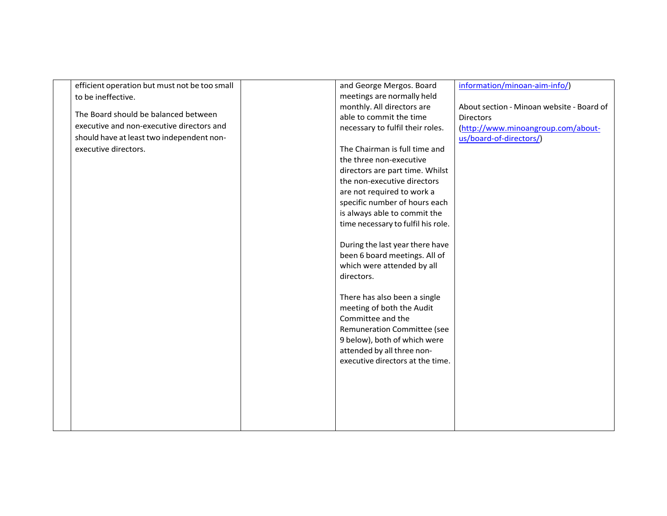| efficient operation but must not be too small | and George Mergos. Board           | information/minoan-aim-info/)             |
|-----------------------------------------------|------------------------------------|-------------------------------------------|
| to be ineffective.                            | meetings are normally held         |                                           |
|                                               | monthly. All directors are         | About section - Minoan website - Board of |
| The Board should be balanced between          | able to commit the time            | <b>Directors</b>                          |
| executive and non-executive directors and     | necessary to fulfil their roles.   | (http://www.minoangroup.com/about-        |
| should have at least two independent non-     |                                    | us/board-of-directors/)                   |
| executive directors.                          | The Chairman is full time and      |                                           |
|                                               | the three non-executive            |                                           |
|                                               | directors are part time. Whilst    |                                           |
|                                               | the non-executive directors        |                                           |
|                                               | are not required to work a         |                                           |
|                                               | specific number of hours each      |                                           |
|                                               | is always able to commit the       |                                           |
|                                               | time necessary to fulfil his role. |                                           |
|                                               |                                    |                                           |
|                                               | During the last year there have    |                                           |
|                                               | been 6 board meetings. All of      |                                           |
|                                               | which were attended by all         |                                           |
|                                               | directors.                         |                                           |
|                                               |                                    |                                           |
|                                               | There has also been a single       |                                           |
|                                               | meeting of both the Audit          |                                           |
|                                               | Committee and the                  |                                           |
|                                               | Remuneration Committee (see        |                                           |
|                                               | 9 below), both of which were       |                                           |
|                                               | attended by all three non-         |                                           |
|                                               | executive directors at the time.   |                                           |
|                                               |                                    |                                           |
|                                               |                                    |                                           |
|                                               |                                    |                                           |
|                                               |                                    |                                           |
|                                               |                                    |                                           |
|                                               |                                    |                                           |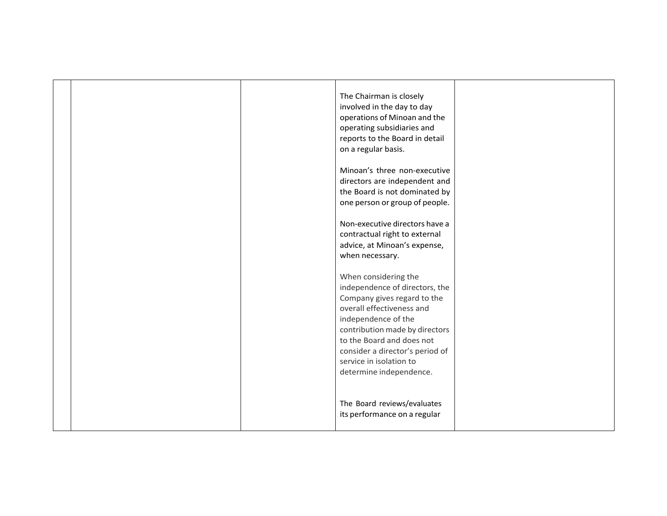|  | The Chairman is closely<br>involved in the day to day<br>operations of Minoan and the<br>operating subsidiaries and<br>reports to the Board in detail<br>on a regular basis.<br>Minoan's three non-executive<br>directors are independent and<br>the Board is not dominated by<br>one person or group of people. |  |
|--|------------------------------------------------------------------------------------------------------------------------------------------------------------------------------------------------------------------------------------------------------------------------------------------------------------------|--|
|  | Non-executive directors have a                                                                                                                                                                                                                                                                                   |  |
|  | contractual right to external                                                                                                                                                                                                                                                                                    |  |
|  | advice, at Minoan's expense,                                                                                                                                                                                                                                                                                     |  |
|  |                                                                                                                                                                                                                                                                                                                  |  |
|  | when necessary.                                                                                                                                                                                                                                                                                                  |  |
|  | When considering the<br>independence of directors, the<br>Company gives regard to the<br>overall effectiveness and<br>independence of the<br>contribution made by directors<br>to the Board and does not<br>consider a director's period of<br>service in isolation to<br>determine independence.                |  |
|  | The Board reviews/evaluates<br>its performance on a regular                                                                                                                                                                                                                                                      |  |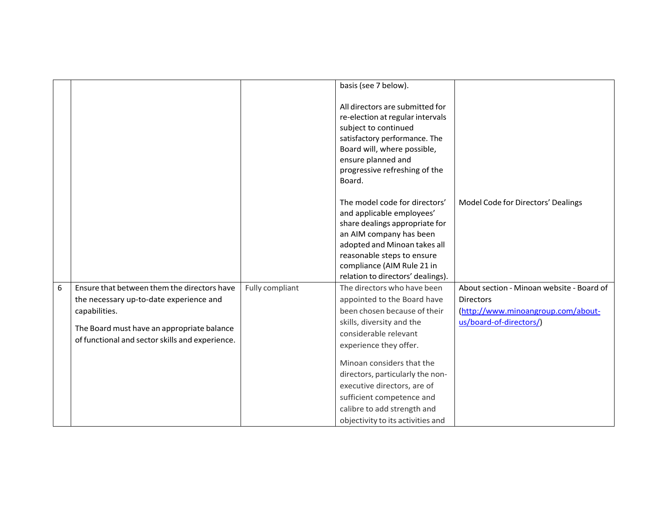|   |                                                 |                 | basis (see 7 below).                                                                                                                                                                                                                                     |                                           |
|---|-------------------------------------------------|-----------------|----------------------------------------------------------------------------------------------------------------------------------------------------------------------------------------------------------------------------------------------------------|-------------------------------------------|
|   |                                                 |                 | All directors are submitted for<br>re-election at regular intervals<br>subject to continued<br>satisfactory performance. The<br>Board will, where possible,<br>ensure planned and<br>progressive refreshing of the<br>Board.                             |                                           |
|   |                                                 |                 | The model code for directors'<br>and applicable employees'<br>share dealings appropriate for<br>an AIM company has been<br>adopted and Minoan takes all<br>reasonable steps to ensure<br>compliance (AIM Rule 21 in<br>relation to directors' dealings). | Model Code for Directors' Dealings        |
| 6 | Ensure that between them the directors have     | Fully compliant | The directors who have been                                                                                                                                                                                                                              | About section - Minoan website - Board of |
|   | the necessary up-to-date experience and         |                 | appointed to the Board have                                                                                                                                                                                                                              | <b>Directors</b>                          |
|   | capabilities.                                   |                 | been chosen because of their                                                                                                                                                                                                                             | (http://www.minoangroup.com/about-        |
|   | The Board must have an appropriate balance      |                 | skills, diversity and the                                                                                                                                                                                                                                | us/board-of-directors/)                   |
|   | of functional and sector skills and experience. |                 | considerable relevant                                                                                                                                                                                                                                    |                                           |
|   |                                                 |                 | experience they offer.                                                                                                                                                                                                                                   |                                           |
|   |                                                 |                 | Minoan considers that the                                                                                                                                                                                                                                |                                           |
|   |                                                 |                 | directors, particularly the non-                                                                                                                                                                                                                         |                                           |
|   |                                                 |                 | executive directors, are of                                                                                                                                                                                                                              |                                           |
|   |                                                 |                 | sufficient competence and                                                                                                                                                                                                                                |                                           |
|   |                                                 |                 | calibre to add strength and                                                                                                                                                                                                                              |                                           |
|   |                                                 |                 | objectivity to its activities and                                                                                                                                                                                                                        |                                           |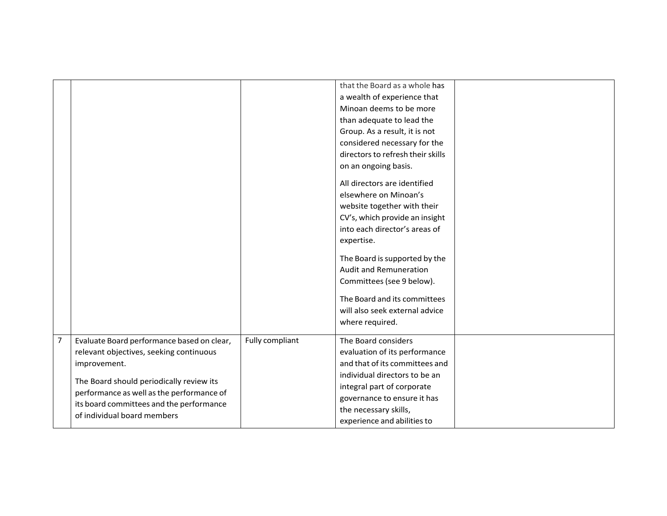|                |                                                                                       |                 | that the Board as a whole has     |  |
|----------------|---------------------------------------------------------------------------------------|-----------------|-----------------------------------|--|
|                |                                                                                       |                 | a wealth of experience that       |  |
|                |                                                                                       |                 | Minoan deems to be more           |  |
|                |                                                                                       |                 | than adequate to lead the         |  |
|                |                                                                                       |                 | Group. As a result, it is not     |  |
|                |                                                                                       |                 | considered necessary for the      |  |
|                |                                                                                       |                 | directors to refresh their skills |  |
|                |                                                                                       |                 | on an ongoing basis.              |  |
|                |                                                                                       |                 | All directors are identified      |  |
|                |                                                                                       |                 | elsewhere on Minoan's             |  |
|                |                                                                                       |                 | website together with their       |  |
|                |                                                                                       |                 | CV's, which provide an insight    |  |
|                |                                                                                       |                 | into each director's areas of     |  |
|                |                                                                                       |                 | expertise.                        |  |
|                |                                                                                       |                 | The Board is supported by the     |  |
|                |                                                                                       |                 | Audit and Remuneration            |  |
|                |                                                                                       |                 | Committees (see 9 below).         |  |
|                |                                                                                       |                 |                                   |  |
|                |                                                                                       |                 | The Board and its committees      |  |
|                |                                                                                       |                 | will also seek external advice    |  |
|                |                                                                                       |                 | where required.                   |  |
| $\overline{7}$ | Evaluate Board performance based on clear,                                            | Fully compliant | The Board considers               |  |
|                | relevant objectives, seeking continuous                                               |                 | evaluation of its performance     |  |
|                | improvement.                                                                          |                 | and that of its committees and    |  |
|                |                                                                                       |                 | individual directors to be an     |  |
|                | The Board should periodically review its<br>performance as well as the performance of |                 | integral part of corporate        |  |
|                | its board committees and the performance                                              |                 | governance to ensure it has       |  |
|                | of individual board members                                                           |                 | the necessary skills,             |  |
|                |                                                                                       |                 | experience and abilities to       |  |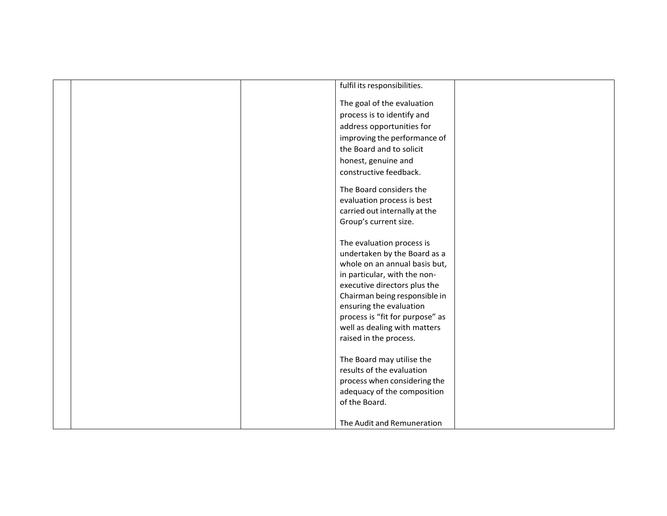|  | fulfil its responsibilities.    |  |
|--|---------------------------------|--|
|  |                                 |  |
|  | The goal of the evaluation      |  |
|  | process is to identify and      |  |
|  | address opportunities for       |  |
|  | improving the performance of    |  |
|  | the Board and to solicit        |  |
|  | honest, genuine and             |  |
|  | constructive feedback.          |  |
|  | The Board considers the         |  |
|  | evaluation process is best      |  |
|  | carried out internally at the   |  |
|  | Group's current size.           |  |
|  |                                 |  |
|  | The evaluation process is       |  |
|  | undertaken by the Board as a    |  |
|  | whole on an annual basis but,   |  |
|  | in particular, with the non-    |  |
|  | executive directors plus the    |  |
|  | Chairman being responsible in   |  |
|  | ensuring the evaluation         |  |
|  | process is "fit for purpose" as |  |
|  | well as dealing with matters    |  |
|  | raised in the process.          |  |
|  | The Board may utilise the       |  |
|  | results of the evaluation       |  |
|  | process when considering the    |  |
|  | adequacy of the composition     |  |
|  | of the Board.                   |  |
|  |                                 |  |
|  | The Audit and Remuneration      |  |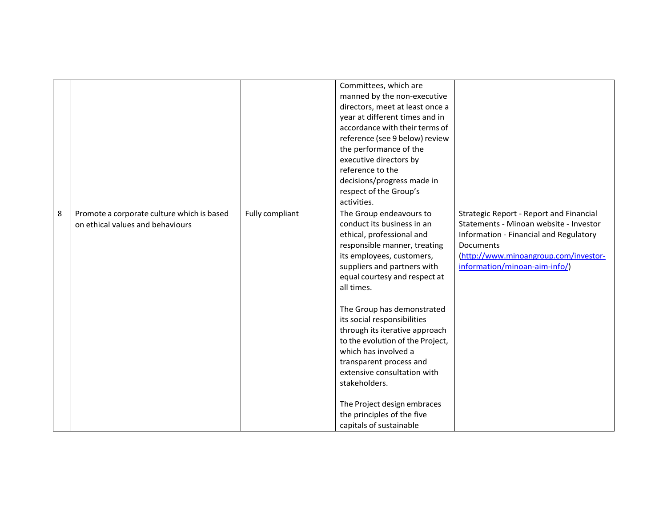|   |                                                                                |                 | Committees, which are<br>manned by the non-executive<br>directors, meet at least once a<br>year at different times and in<br>accordance with their terms of<br>reference (see 9 below) review<br>the performance of the<br>executive directors by<br>reference to the<br>decisions/progress made in<br>respect of the Group's<br>activities. |                                                                                                                                                                                                                           |
|---|--------------------------------------------------------------------------------|-----------------|----------------------------------------------------------------------------------------------------------------------------------------------------------------------------------------------------------------------------------------------------------------------------------------------------------------------------------------------|---------------------------------------------------------------------------------------------------------------------------------------------------------------------------------------------------------------------------|
| 8 | Promote a corporate culture which is based<br>on ethical values and behaviours | Fully compliant | The Group endeavours to<br>conduct its business in an<br>ethical, professional and<br>responsible manner, treating<br>its employees, customers,<br>suppliers and partners with<br>equal courtesy and respect at<br>all times.                                                                                                                | <b>Strategic Report - Report and Financial</b><br>Statements - Minoan website - Investor<br>Information - Financial and Regulatory<br>Documents<br>(http://www.minoangroup.com/investor-<br>information/minoan-aim-info/) |
|   |                                                                                |                 | The Group has demonstrated<br>its social responsibilities<br>through its iterative approach<br>to the evolution of the Project,<br>which has involved a<br>transparent process and<br>extensive consultation with<br>stakeholders.<br>The Project design embraces<br>the principles of the five                                              |                                                                                                                                                                                                                           |
|   |                                                                                |                 | capitals of sustainable                                                                                                                                                                                                                                                                                                                      |                                                                                                                                                                                                                           |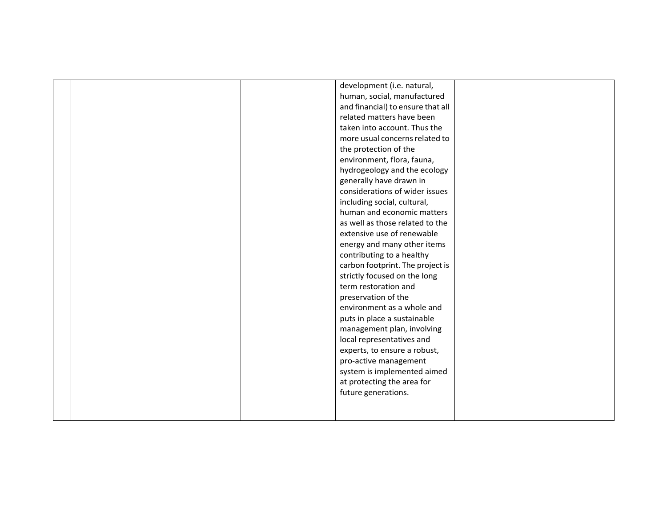|  | development (i.e. natural,        |  |
|--|-----------------------------------|--|
|  | human, social, manufactured       |  |
|  | and financial) to ensure that all |  |
|  | related matters have been         |  |
|  | taken into account. Thus the      |  |
|  | more usual concerns related to    |  |
|  | the protection of the             |  |
|  | environment, flora, fauna,        |  |
|  | hydrogeology and the ecology      |  |
|  | generally have drawn in           |  |
|  | considerations of wider issues    |  |
|  | including social, cultural,       |  |
|  | human and economic matters        |  |
|  | as well as those related to the   |  |
|  | extensive use of renewable        |  |
|  | energy and many other items       |  |
|  | contributing to a healthy         |  |
|  | carbon footprint. The project is  |  |
|  | strictly focused on the long      |  |
|  | term restoration and              |  |
|  | preservation of the               |  |
|  | environment as a whole and        |  |
|  | puts in place a sustainable       |  |
|  | management plan, involving        |  |
|  | local representatives and         |  |
|  | experts, to ensure a robust,      |  |
|  | pro-active management             |  |
|  | system is implemented aimed       |  |
|  | at protecting the area for        |  |
|  | future generations.               |  |
|  |                                   |  |
|  |                                   |  |
|  |                                   |  |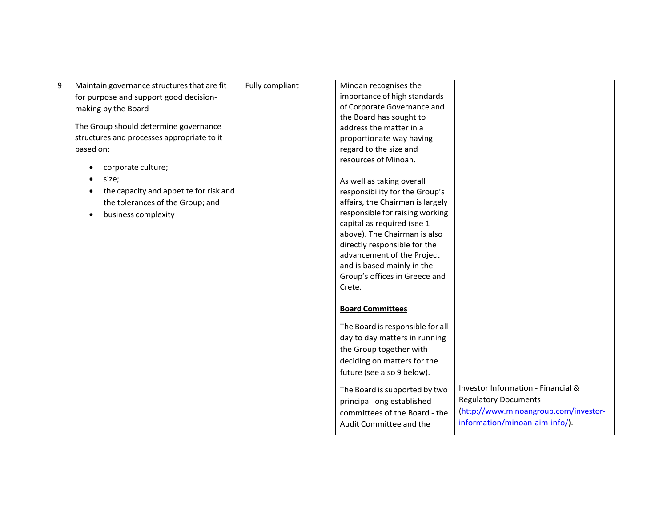| 9 | Maintain governance structures that are fit | Fully compliant | Minoan recognises the            |                                       |
|---|---------------------------------------------|-----------------|----------------------------------|---------------------------------------|
|   | for purpose and support good decision-      |                 | importance of high standards     |                                       |
|   |                                             |                 | of Corporate Governance and      |                                       |
|   | making by the Board                         |                 |                                  |                                       |
|   | The Group should determine governance       |                 | the Board has sought to          |                                       |
|   |                                             |                 | address the matter in a          |                                       |
|   | structures and processes appropriate to it  |                 | proportionate way having         |                                       |
|   | based on:                                   |                 | regard to the size and           |                                       |
|   | corporate culture;                          |                 | resources of Minoan.             |                                       |
|   | size;                                       |                 | As well as taking overall        |                                       |
|   | the capacity and appetite for risk and      |                 | responsibility for the Group's   |                                       |
|   | the tolerances of the Group; and            |                 | affairs, the Chairman is largely |                                       |
|   |                                             |                 | responsible for raising working  |                                       |
|   | business complexity                         |                 | capital as required (see 1       |                                       |
|   |                                             |                 | above). The Chairman is also     |                                       |
|   |                                             |                 | directly responsible for the     |                                       |
|   |                                             |                 | advancement of the Project       |                                       |
|   |                                             |                 |                                  |                                       |
|   |                                             |                 | and is based mainly in the       |                                       |
|   |                                             |                 | Group's offices in Greece and    |                                       |
|   |                                             |                 | Crete.                           |                                       |
|   |                                             |                 |                                  |                                       |
|   |                                             |                 | <b>Board Committees</b>          |                                       |
|   |                                             |                 | The Board is responsible for all |                                       |
|   |                                             |                 | day to day matters in running    |                                       |
|   |                                             |                 | the Group together with          |                                       |
|   |                                             |                 | deciding on matters for the      |                                       |
|   |                                             |                 | future (see also 9 below).       |                                       |
|   |                                             |                 |                                  |                                       |
|   |                                             |                 | The Board is supported by two    | Investor Information - Financial &    |
|   |                                             |                 | principal long established       | <b>Regulatory Documents</b>           |
|   |                                             |                 | committees of the Board - the    | (http://www.minoangroup.com/investor- |
|   |                                             |                 | Audit Committee and the          | information/minoan-aim-info/).        |
|   |                                             |                 |                                  |                                       |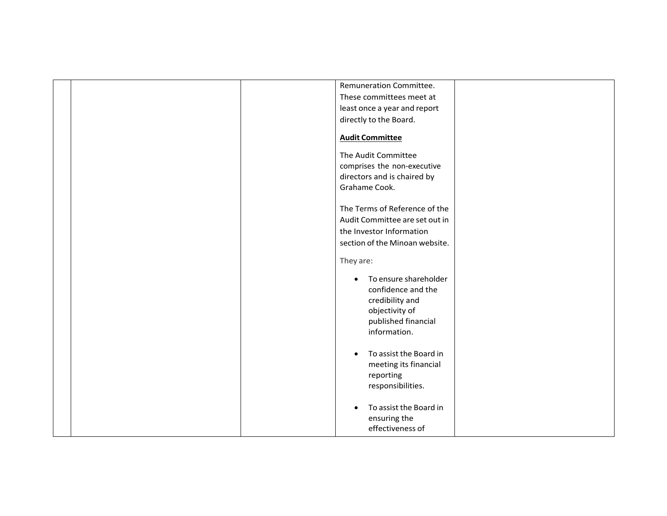| Remuneration Committee.             |
|-------------------------------------|
| These committees meet at            |
| least once a year and report        |
| directly to the Board.              |
|                                     |
| <b>Audit Committee</b>              |
|                                     |
| The Audit Committee                 |
| comprises the non-executive         |
| directors and is chaired by         |
| Grahame Cook.                       |
|                                     |
| The Terms of Reference of the       |
| Audit Committee are set out in      |
| the Investor Information            |
| section of the Minoan website.      |
|                                     |
| They are:                           |
|                                     |
| To ensure shareholder<br>$\bullet$  |
| confidence and the                  |
| credibility and                     |
| objectivity of                      |
| published financial                 |
| information.                        |
|                                     |
| To assist the Board in<br>$\bullet$ |
|                                     |
| meeting its financial               |
| reporting                           |
| responsibilities.                   |
|                                     |
| To assist the Board in              |
| ensuring the                        |
| effectiveness of                    |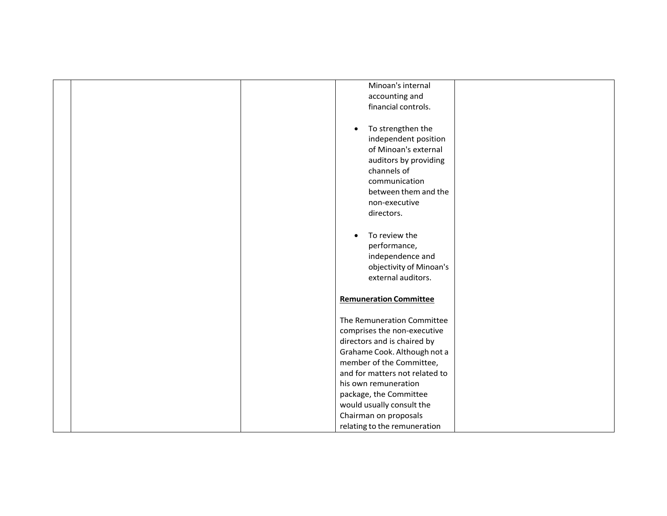| Minoan's internal              |
|--------------------------------|
| accounting and                 |
| financial controls.            |
|                                |
| To strengthen the              |
| independent position           |
| of Minoan's external           |
| auditors by providing          |
|                                |
| channels of                    |
| communication                  |
| between them and the           |
| non-executive                  |
| directors.                     |
|                                |
| To review the                  |
| performance,                   |
| independence and               |
| objectivity of Minoan's        |
| external auditors.             |
|                                |
| <b>Remuneration Committee</b>  |
|                                |
| The Remuneration Committee     |
|                                |
| comprises the non-executive    |
| directors and is chaired by    |
| Grahame Cook. Although not a   |
| member of the Committee,       |
| and for matters not related to |
| his own remuneration           |
| package, the Committee         |
| would usually consult the      |
| Chairman on proposals          |
| relating to the remuneration   |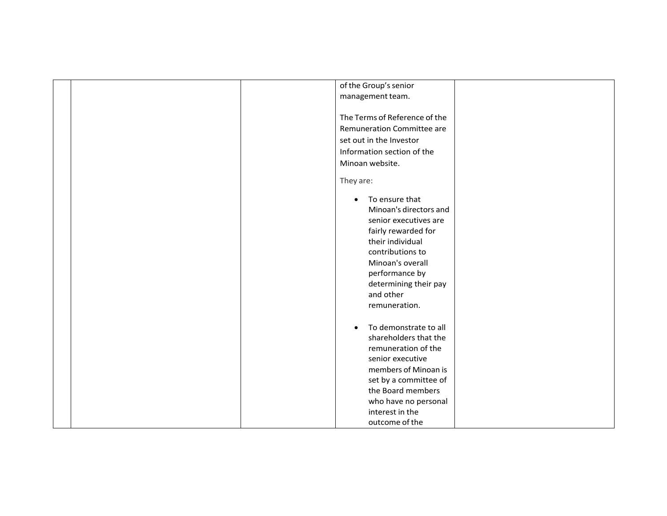| of the Group's senior<br>management team.<br>The Terms of Reference of the<br>Remuneration Committee are<br>set out in the Investor<br>Information section of the                                                                          |
|--------------------------------------------------------------------------------------------------------------------------------------------------------------------------------------------------------------------------------------------|
| Minoan website.                                                                                                                                                                                                                            |
| They are:                                                                                                                                                                                                                                  |
| To ensure that<br>$\bullet$<br>Minoan's directors and<br>senior executives are<br>fairly rewarded for<br>their individual<br>contributions to<br>Minoan's overall<br>performance by<br>determining their pay<br>and other<br>remuneration. |
| To demonstrate to all<br>shareholders that the<br>remuneration of the<br>senior executive<br>members of Minoan is<br>set by a committee of                                                                                                 |
| the Board members<br>who have no personal<br>interest in the                                                                                                                                                                               |
| outcome of the                                                                                                                                                                                                                             |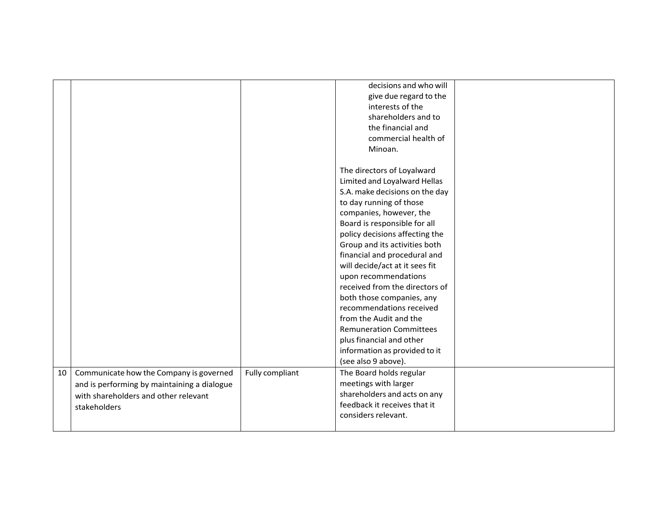|    |                                                                                                                                                |                 | decisions and who will<br>give due regard to the<br>interests of the<br>shareholders and to<br>the financial and<br>commercial health of<br>Minoan.                                                                                                                                                                                                                                                                                                                                                                                                                                        |  |
|----|------------------------------------------------------------------------------------------------------------------------------------------------|-----------------|--------------------------------------------------------------------------------------------------------------------------------------------------------------------------------------------------------------------------------------------------------------------------------------------------------------------------------------------------------------------------------------------------------------------------------------------------------------------------------------------------------------------------------------------------------------------------------------------|--|
|    |                                                                                                                                                |                 | The directors of Loyalward<br>Limited and Loyalward Hellas<br>S.A. make decisions on the day<br>to day running of those<br>companies, however, the<br>Board is responsible for all<br>policy decisions affecting the<br>Group and its activities both<br>financial and procedural and<br>will decide/act at it sees fit<br>upon recommendations<br>received from the directors of<br>both those companies, any<br>recommendations received<br>from the Audit and the<br><b>Remuneration Committees</b><br>plus financial and other<br>information as provided to it<br>(see also 9 above). |  |
| 10 | Communicate how the Company is governed<br>and is performing by maintaining a dialogue<br>with shareholders and other relevant<br>stakeholders | Fully compliant | The Board holds regular<br>meetings with larger<br>shareholders and acts on any<br>feedback it receives that it<br>considers relevant.                                                                                                                                                                                                                                                                                                                                                                                                                                                     |  |